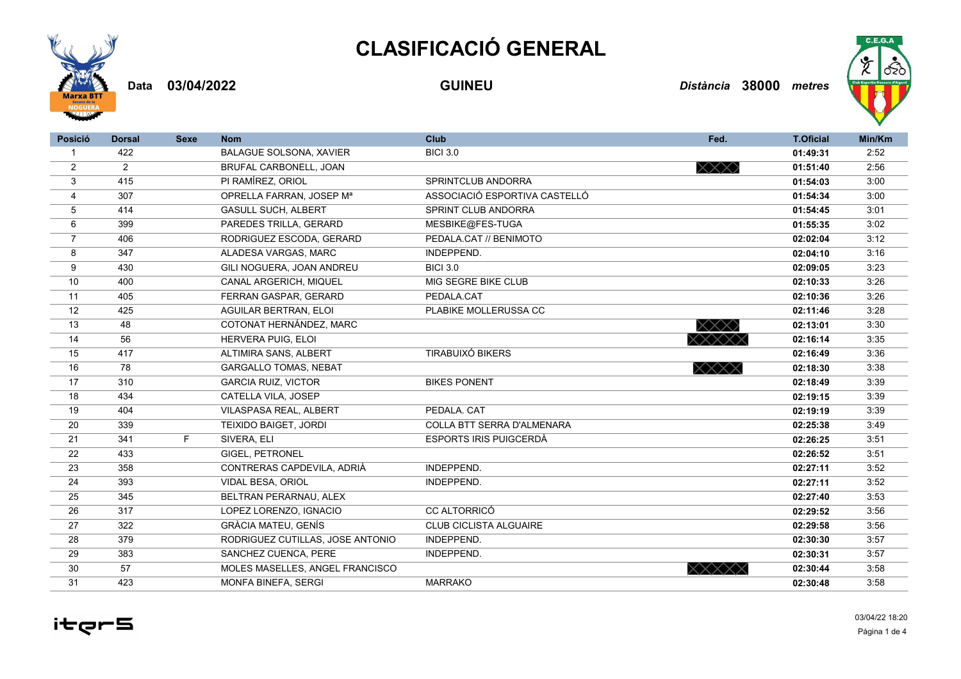## **CLASIFICACIÓ GENERAL**



**03/04/2022 GUINEU** *Distància* **38000 Data** *metres*



| <b>Posició</b> | <b>Dorsal</b>  | <b>Sexe</b> | <b>Nom</b>                       | Club                          | Fed.                                      | <b>T.Oficial</b> | Min/Km |
|----------------|----------------|-------------|----------------------------------|-------------------------------|-------------------------------------------|------------------|--------|
|                | 422            |             | <b>BALAGUE SOLSONA, XAVIER</b>   | <b>BICI 3.0</b>               |                                           | 01:49:31         | 2:52   |
| $\overline{2}$ | $\overline{2}$ |             | BRUFAL CARBONELL, JOAN           |                               | $\times \!\!\times \!\!\times \!\!\times$ | 01:51:40         | 2:56   |
| 3              | 415            |             | PI RAMÍREZ, ORIOL                | SPRINTCLUB ANDORRA            |                                           | 01:54:03         | 3:00   |
| 4              | 307            |             | OPRELLA FARRAN, JOSEP Mª         | ASSOCIACIÓ ESPORTIVA CASTELLÓ |                                           | 01:54:34         | 3:00   |
| 5              | 414            |             | <b>GASULL SUCH, ALBERT</b>       | SPRINT CLUB ANDORRA           |                                           | 01:54:45         | 3:01   |
| 6              | 399            |             | PAREDES TRILLA, GERARD           | MESBIKE@FES-TUGA              |                                           | 01:55:35         | 3:02   |
| $\overline{7}$ | 406            |             | RODRIGUEZ ESCODA, GERARD         | PEDALA.CAT // BENIMOTO        |                                           | 02:02:04         | 3:12   |
| 8              | 347            |             | ALADESA VARGAS, MARC             | INDEPPEND.                    |                                           | 02:04:10         | 3:16   |
| 9              | 430            |             | GILI NOGUERA, JOAN ANDREU        | <b>BICI 3.0</b>               |                                           | 02:09:05         | 3:23   |
| 10             | 400            |             | CANAL ARGERICH, MIQUEL           | MIG SEGRE BIKE CLUB           |                                           | 02:10:33         | 3:26   |
| 11             | 405            |             | FERRAN GASPAR, GERARD            | PEDALA.CAT                    |                                           | 02:10:36         | 3:26   |
| 12             | 425            |             | <b>AGUILAR BERTRAN, ELOI</b>     | PLABIKE MOLLERUSSA CC         |                                           | 02:11:46         | 3:28   |
| 13             | 48             |             | COTONAT HERNÁNDEZ, MARC          |                               | XXX)                                      | 02:13:01         | 3:30   |
| 14             | 56             |             | <b>HERVERA PUIG. ELOI</b>        |                               | XXXXX                                     | 02:16:14         | 3:35   |
| 15             | 417            |             | ALTIMIRA SANS, ALBERT            | <b>TIRABUIXÓ BIKERS</b>       |                                           | 02:16:49         | 3:36   |
| 16             | 78             |             | <b>GARGALLO TOMAS, NEBAT</b>     |                               | $\times\!\!\times\!\!\times\!\!\times$    | 02:18:30         | 3:38   |
| 17             | 310            |             | <b>GARCIA RUIZ, VICTOR</b>       | <b>BIKES PONENT</b>           |                                           | 02:18:49         | 3:39   |
| 18             | 434            |             | CATELLA VILA, JOSEP              |                               |                                           | 02:19:15         | 3:39   |
| 19             | 404            |             | VILASPASA REAL, ALBERT           | PEDALA, CAT                   |                                           | 02:19:19         | 3:39   |
| 20             | 339            |             | TEIXIDO BAIGET, JORDI            | COLLA BTT SERRA D'ALMENARA    |                                           | 02:25:38         | 3:49   |
| 21             | 341            | F.          | SIVERA, ELI                      | <b>ESPORTS IRIS PUIGCERDÀ</b> |                                           | 02:26:25         | 3:51   |
| 22             | 433            |             | GIGEL, PETRONEL                  |                               |                                           | 02:26:52         | 3:51   |
| 23             | 358            |             | CONTRERAS CAPDEVILA, ADRIÀ       | INDEPPEND.                    |                                           | 02:27:11         | 3:52   |
| 24             | 393            |             | VIDAL BESA, ORIOL                | INDEPPEND.                    |                                           | 02:27:11         | 3:52   |
| 25             | 345            |             | BELTRAN PERARNAU, ALEX           |                               |                                           | 02:27:40         | 3:53   |
| 26             | 317            |             | LOPEZ LORENZO, IGNACIO           | <b>CC ALTORRICÓ</b>           |                                           | 02:29:52         | 3:56   |
| 27             | 322            |             | <b>GRÀCIA MATEU, GENÍS</b>       | <b>CLUB CICLISTA ALGUAIRE</b> |                                           | 02:29:58         | 3:56   |
| 28             | 379            |             | RODRIGUEZ CUTILLAS, JOSE ANTONIO | INDEPPEND.                    |                                           | 02:30:30         | 3:57   |
| 29             | 383            |             | SANCHEZ CUENCA, PERE             | INDEPPEND.                    |                                           | 02:30:31         | 3:57   |
| 30             | 57             |             | MOLES MASELLES, ANGEL FRANCISCO  |                               | XXXXX                                     | 02:30:44         | 3:58   |
| 31             | 423            |             | MONFA BINEFA, SERGI              | <b>MARRAKO</b>                |                                           | 02:30:48         | 3:58   |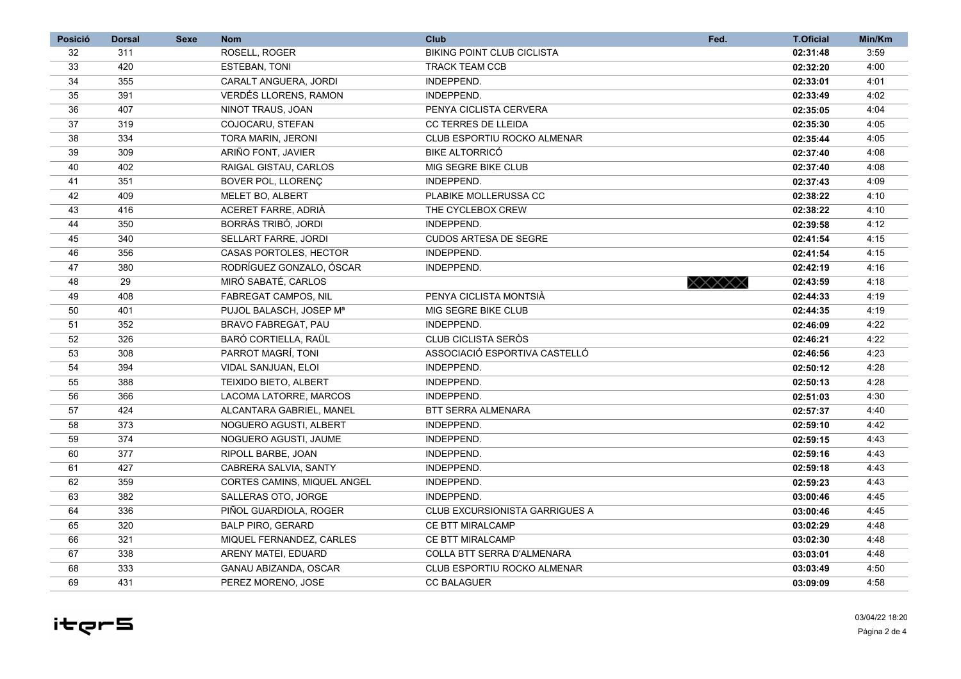| <b>Posició</b>  | <b>Dorsal</b> | <b>Sexe</b> | <b>Nom</b>                    | <b>Club</b>                           | Fed.  | <b>T.Oficial</b> | Min/Km |
|-----------------|---------------|-------------|-------------------------------|---------------------------------------|-------|------------------|--------|
| 32              | 311           |             | ROSELL, ROGER                 | <b>BIKING POINT CLUB CICLISTA</b>     |       | 02:31:48         | 3:59   |
| 33              | 420           |             | <b>ESTEBAN, TONI</b>          | <b>TRACK TEAM CCB</b>                 |       | 02:32:20         | 4:00   |
| 34              | 355           |             | CARALT ANGUERA, JORDI         | INDEPPEND.                            |       | 02:33:01         | 4:01   |
| 35              | 391           |             | <b>VERDÉS LLORENS, RAMON</b>  | INDEPPEND.                            |       | 02:33:49         | 4:02   |
| 36              | 407           |             | NINOT TRAUS, JOAN             | PENYA CICLISTA CERVERA                |       | 02:35:05         | 4:04   |
| 37              | 319           |             | COJOCARU, STEFAN              | <b>CC TERRES DE LLEIDA</b>            |       | 02:35:30         | 4:05   |
| 38              | 334           |             | TORA MARIN, JERONI            | CLUB ESPORTIU ROCKO ALMENAR           |       | 02:35:44         | 4:05   |
| 39              | 309           |             | ARIÑO FONT, JAVIER            | <b>BIKE ALTORRICÓ</b>                 |       | 02:37:40         | 4:08   |
| 40              | 402           |             | RAIGAL GISTAU, CARLOS         | MIG SEGRE BIKE CLUB                   |       | 02:37:40         | 4:08   |
| 41              | 351           |             | BOVER POL, LLORENÇ            | INDEPPEND.                            |       | 02:37:43         | 4:09   |
| 42              | 409           |             | MELET BO, ALBERT              | PLABIKE MOLLERUSSA CC                 |       | 02:38:22         | 4:10   |
| 43              | 416           |             | ACERET FARRE, ADRIÀ           | THE CYCLEBOX CREW                     |       | 02:38:22         | 4:10   |
| 44              | 350           |             | BORRÀS TRIBÓ, JORDI           | INDEPPEND.                            |       | 02:39:58         | 4:12   |
| 45              | 340           |             | <b>SELLART FARRE, JORDI</b>   | <b>CUDOS ARTESA DE SEGRE</b>          |       | 02:41:54         | 4:15   |
| 46              | 356           |             | <b>CASAS PORTOLES. HECTOR</b> | INDEPPEND.                            |       | 02:41:54         | 4:15   |
| 47              | 380           |             | RODRÍGUEZ GONZALO, ÓSCAR      | INDEPPEND.                            |       | 02:42:19         | 4:16   |
| 48              | 29            |             | MIRÓ SABATÉ, CARLOS           |                                       | XXXXX | 02:43:59         | 4:18   |
| 49              | 408           |             | <b>FABREGAT CAMPOS, NIL</b>   | PENYA CICLISTA MONTSIÀ                |       | 02:44:33         | 4:19   |
| 50              | 401           |             | PUJOL BALASCH, JOSEP Mª       | MIG SEGRE BIKE CLUB                   |       | 02:44:35         | 4:19   |
| 51              | 352           |             | <b>BRAVO FABREGAT, PAU</b>    | INDEPPEND.                            |       | 02:46:09         | 4:22   |
| 52              | 326           |             | BARÓ CORTIELLA, RAÜL          | <b>CLUB CICLISTA SERÒS</b>            |       | 02:46:21         | 4:22   |
| 53              | 308           |             | PARROT MAGRÍ, TONI            | ASSOCIACIÓ ESPORTIVA CASTELLÓ         |       | 02:46:56         | 4:23   |
| 54              | 394           |             | VIDAL SANJUAN, ELOI           | INDEPPEND.                            |       | 02:50:12         | 4:28   |
| 55              | 388           |             | <b>TEIXIDO BIETO, ALBERT</b>  | INDEPPEND.                            |       | 02:50:13         | 4:28   |
| $\overline{56}$ | 366           |             | LACOMA LATORRE, MARCOS        | INDEPPEND.                            |       | 02:51:03         | 4:30   |
| 57              | 424           |             | ALCANTARA GABRIEL, MANEL      | BTT SERRA ALMENARA                    |       | 02:57:37         | 4:40   |
| 58              | 373           |             | NOGUERO AGUSTI, ALBERT        | INDEPPEND.                            |       | 02:59:10         | 4:42   |
| 59              | 374           |             | NOGUERO AGUSTI, JAUME         | INDEPPEND.                            |       | 02:59:15         | 4:43   |
| 60              | 377           |             | RIPOLL BARBE, JOAN            | INDEPPEND.                            |       | 02:59:16         | 4:43   |
| 61              | 427           |             | CABRERA SALVIA, SANTY         | INDEPPEND.                            |       | 02:59:18         | 4:43   |
| 62              | 359           |             | CORTES CAMINS, MIQUEL ANGEL   | INDEPPEND.                            |       | 02:59:23         | 4:43   |
| 63              | 382           |             | SALLERAS OTO, JORGE           | INDEPPEND.                            |       | 03:00:46         | 4:45   |
| 64              | 336           |             | PIÑOL GUARDIOLA, ROGER        | <b>CLUB EXCURSIONISTA GARRIGUES A</b> |       | 03:00:46         | 4:45   |
| 65              | 320           |             | <b>BALP PIRO, GERARD</b>      | <b>CE BTT MIRALCAMP</b>               |       | 03:02:29         | 4:48   |
| 66              | 321           |             | MIQUEL FERNANDEZ, CARLES      | <b>CE BTT MIRALCAMP</b>               |       | 03:02:30         | 4:48   |
| 67              | 338           |             | ARENY MATEI, EDUARD           | COLLA BTT SERRA D'ALMENARA            |       | 03:03:01         | 4:48   |
| 68              | 333           |             | GANAU ABIZANDA, OSCAR         | CLUB ESPORTIU ROCKO ALMENAR           |       | 03:03:49         | 4:50   |
| 69              | 431           |             | PEREZ MORENO, JOSE            | <b>CC BALAGUER</b>                    |       | 03:09:09         | 4:58   |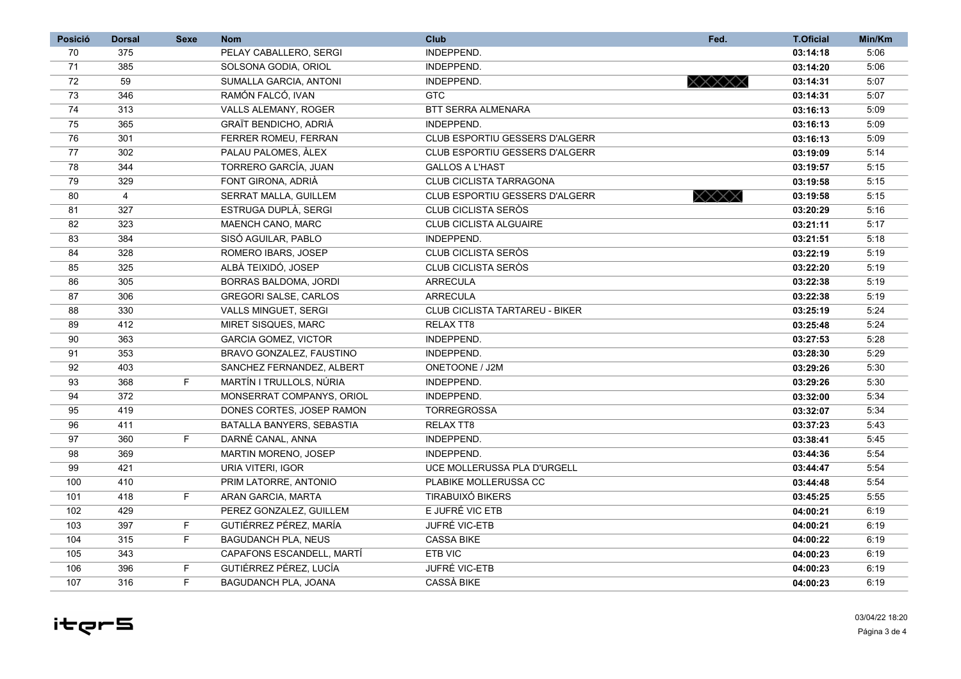| <b>Posició</b> | <b>Dorsal</b>  | <b>Sexe</b> | <b>Nom</b>                   | <b>Club</b>                           | Fed.                                      | <b>T.Oficial</b> | Min/Km |
|----------------|----------------|-------------|------------------------------|---------------------------------------|-------------------------------------------|------------------|--------|
| 70             | 375            |             | PELAY CABALLERO, SERGI       | INDEPPEND.                            |                                           | 03:14:18         | 5:06   |
| 71             | 385            |             | SOLSONA GODIA, ORIOL         | INDEPPEND.                            |                                           | 03:14:20         | 5:06   |
| 72             | 59             |             | SUMALLA GARCIA, ANTONI       | INDEPPEND.                            | XXXXX                                     | 03:14:31         | 5:07   |
| 73             | 346            |             | RAMÓN FALCÓ, IVAN            | <b>GTC</b>                            |                                           | 03:14:31         | 5:07   |
| 74             | 313            |             | <b>VALLS ALEMANY, ROGER</b>  | <b>BTT SERRA ALMENARA</b>             |                                           | 03:16:13         | 5:09   |
| 75             | 365            |             | GRAÏT BENDICHO, ADRIÀ        | INDEPPEND.                            |                                           | 03:16:13         | 5:09   |
| 76             | 301            |             | FERRER ROMEU, FERRAN         | CLUB ESPORTIU GESSERS D'ALGERR        |                                           | 03:16:13         | 5:09   |
| 77             | 302            |             | PALAU PALOMES. ALEX          | <b>CLUB ESPORTIU GESSERS D'ALGERR</b> |                                           | 03:19:09         | 5:14   |
| 78             | 344            |             | TORRERO GARCÍA, JUAN         | <b>GALLOS A L'HAST</b>                |                                           | 03:19:57         | 5:15   |
| 79             | 329            |             | FONT GIRONA, ADRIÀ           | CLUB CICLISTA TARRAGONA               |                                           | 03:19:58         | 5:15   |
| 80             | $\overline{4}$ |             | SERRAT MALLA, GUILLEM        | <b>CLUB ESPORTIU GESSERS D'ALGERR</b> | $\times \!\!\times \!\!\times \!\!\times$ | 03:19:58         | 5:15   |
| 81             | 327            |             | ESTRUGA DUPLÀ, SERGI         | CLUB CICLISTA SERÒS                   |                                           | 03:20:29         | 5:16   |
| 82             | 323            |             | MAENCH CANO, MARC            | <b>CLUB CICLISTA ALGUAIRE</b>         |                                           | 03:21:11         | 5:17   |
| 83             | 384            |             | SISÓ AGUILAR. PABLO          | INDEPPEND.                            |                                           | 03:21:51         | 5:18   |
| 84             | 328            |             | ROMERO IBARS, JOSEP          | CLUB CICLISTA SERÒS                   |                                           | 03:22:19         | 5:19   |
| 85             | 325            |             | ALBÀ TEIXIDÓ, JOSEP          | <b>CLUB CICLISTA SERÒS</b>            |                                           | 03:22:20         | 5:19   |
| 86             | 305            |             | <b>BORRAS BALDOMA, JORDI</b> | <b>ARRECULA</b>                       |                                           | 03:22:38         | 5:19   |
| 87             | 306            |             | <b>GREGORI SALSE, CARLOS</b> | <b>ARRECULA</b>                       |                                           | 03:22:38         | 5:19   |
| 88             | 330            |             | <b>VALLS MINGUET, SERGI</b>  | <b>CLUB CICLISTA TARTAREU - BIKER</b> |                                           | 03:25:19         | 5:24   |
| 89             | 412            |             | MIRET SISQUES, MARC          | <b>RELAX TT8</b>                      |                                           | 03:25:48         | 5:24   |
| 90             | 363            |             | <b>GARCIA GOMEZ, VICTOR</b>  | INDEPPEND.                            |                                           | 03:27:53         | 5:28   |
| 91             | 353            |             | BRAVO GONZALEZ, FAUSTINO     | INDEPPEND.                            |                                           | 03:28:30         | 5:29   |
| 92             | 403            |             | SANCHEZ FERNANDEZ, ALBERT    | ONETOONE / J2M                        |                                           | 03:29:26         | 5:30   |
| 93             | 368            | F.          | MARTÍN I TRULLOLS. NÚRIA     | INDEPPEND.                            |                                           | 03:29:26         | 5:30   |
| 94             | 372            |             | MONSERRAT COMPANYS, ORIOL    | INDEPPEND.                            |                                           | 03:32:00         | 5:34   |
| 95             | 419            |             | DONES CORTES, JOSEP RAMON    | <b>TORREGROSSA</b>                    |                                           | 03:32:07         | 5:34   |
| 96             | 411            |             | BATALLA BANYERS, SEBASTIA    | <b>RELAX TT8</b>                      |                                           | 03:37:23         | 5:43   |
| 97             | 360            | F.          | DARNÉ CANAL, ANNA            | INDEPPEND.                            |                                           | 03:38:41         | 5:45   |
| 98             | 369            |             | MARTIN MORENO, JOSEP         | INDEPPEND.                            |                                           | 03:44:36         | 5:54   |
| 99             | 421            |             | URIA VITERI. IGOR            | UCE MOLLERUSSA PLA D'URGELL           |                                           | 03:44:47         | 5:54   |
| 100            | 410            |             | PRIM LATORRE, ANTONIO        | PLABIKE MOLLERUSSA CC                 |                                           | 03:44:48         | 5:54   |
| 101            | 418            | F.          | ARAN GARCIA, MARTA           | <b>TIRABUIXÓ BIKERS</b>               |                                           | 03:45:25         | 5:55   |
| 102            | 429            |             | PEREZ GONZALEZ, GUILLEM      | E JUFRÉ VIC ETB                       |                                           | 04:00:21         | 6:19   |
| 103            | 397            | F           | GUTIÉRREZ PÉREZ, MARÍA       | JUFRÉ VIC-ETB                         |                                           | 04:00:21         | 6:19   |
| 104            | 315            | F.          | <b>BAGUDANCH PLA, NEUS</b>   | <b>CASSA BIKE</b>                     |                                           | 04:00:22         | 6:19   |
| 105            | 343            |             | CAPAFONS ESCANDELL, MARTÍ    | ETB VIC                               |                                           | 04:00:23         | 6:19   |
| 106            | 396            | F.          | GUTIÉRREZ PÉREZ, LUCÍA       | JUFRÉ VIC-ETB                         |                                           | 04:00:23         | 6:19   |
| 107            | 316            | F           | BAGUDANCH PLA, JOANA         | <b>CASSÀ BIKE</b>                     |                                           | 04:00:23         | 6:19   |